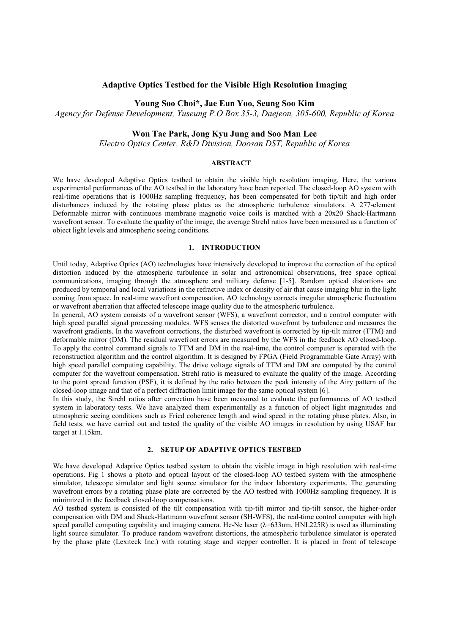## **Adaptive Optics Testbed for the Visible High Resolution Imaging**

### **Young Soo Choi\*, Jae Eun Yoo, Seung Soo Kim**

*Agency for Defense Development, Yuseung P.O Box 35-3, Daejeon, 305-600, Republic of Korea*

# **Won Tae Park, Jong Kyu Jung and Soo Man Lee**

*Electro Optics Center, R&D Division, Doosan DST, Republic of Korea*

#### **ABSTRACT**

We have developed Adaptive Optics testbed to obtain the visible high resolution imaging. Here, the various experimental performances of the AO testbed in the laboratory have been reported. The closed-loop AO system with real-time operations that is 1000Hz sampling frequency, has been compensated for both tip/tilt and high order disturbances induced by the rotating phase plates as the atmospheric turbulence simulators. A 277-element Deformable mirror with continuous membrane magnetic voice coils is matched with a 20x20 Shack-Hartmann wavefront sensor. To evaluate the quality of the image, the average Strehl ratios have been measured as a function of object light levels and atmospheric seeing conditions.

#### **1. INTRODUCTION**

Until today, Adaptive Optics (AO) technologies have intensively developed to improve the correction of the optical distortion induced by the atmospheric turbulence in solar and astronomical observations, free space optical communications, imaging through the atmosphere and military defense [1-5]. Random optical distortions are produced by temporal and local variations in the refractive index or density of air that cause imaging blur in the light coming from space. In real-time wavefront compensation, AO technology corrects irregular atmospheric fluctuation or wavefront aberration that affected telescope image quality due to the atmospheric turbulence.

In general, AO system consists of a wavefront sensor (WFS), a wavefront corrector, and a control computer with high speed parallel signal processing modules. WFS senses the distorted wavefront by turbulence and measures the wavefront gradients. In the wavefront corrections, the disturbed wavefront is corrected by tip-tilt mirror (TTM) and deformable mirror (DM). The residual wavefront errors are measured by the WFS in the feedback AO closed-loop. To apply the control command signals to TTM and DM in the real-time, the control computer is operated with the reconstruction algorithm and the control algorithm. It is designed by FPGA (Field Programmable Gate Array) with high speed parallel computing capability. The drive voltage signals of TTM and DM are computed by the control computer for the wavefront compensation. Strehl ratio is measured to evaluate the quality of the image. According to the point spread function (PSF), it is defined by the ratio between the peak intensity of the Airy pattern of the closed-loop image and that of a perfect diffraction limit image for the same optical system [6].

In this study, the Strehl ratios after correction have been measured to evaluate the performances of AO testbed system in laboratory tests. We have analyzed them experimentally as a function of object light magnitudes and atmospheric seeing conditions such as Fried coherence length and wind speed in the rotating phase plates. Also, in field tests, we have carried out and tested the quality of the visible AO images in resolution by using USAF bar target at 1.15km.

### **2. SETUP OF ADAPTIVE OPTICS TESTBED**

We have developed Adaptive Optics testbed system to obtain the visible image in high resolution with real-time operations. Fig 1 shows a photo and optical layout of the closed-loop AO testbed system with the atmospheric simulator, telescope simulator and light source simulator for the indoor laboratory experiments. The generating wavefront errors by a rotating phase plate are corrected by the AO testbed with 1000Hz sampling frequency. It is minimized in the feedback closed-loop compensations.

AO testbed system is consisted of the tilt compensation with tip-tilt mirror and tip-tilt sensor, the higher-order compensation with DM and Shack-Hartmann wavefront sensor (SH-WFS), the real-time control computer with high speed parallel computing capability and imaging camera. He-Ne laser (λ=633nm, HNL225R) is used as illuminating light source simulator. To produce random wavefront distortions, the atmospheric turbulence simulator is operated by the phase plate (Lexiteck Inc.) with rotating stage and stepper controller. It is placed in front of telescope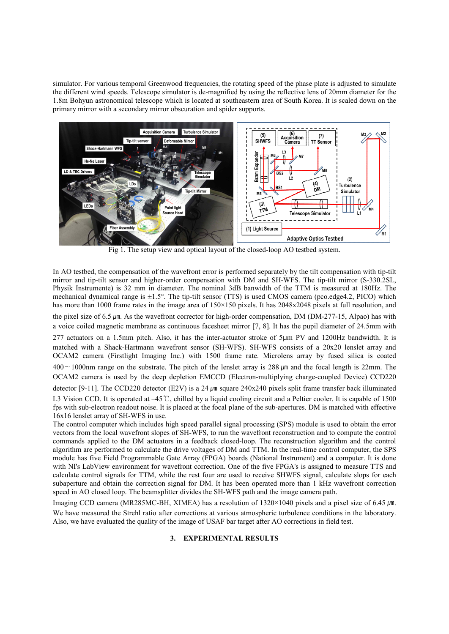simulator. For various temporal Greenwood frequencies, the rotating speed of the phase plate is adjusted to simulate the different wind speeds. Telescope simulator is de-magnified by using the reflective lens of 20mm diameter for the 1.8m Bohyun astronomical telescope which is located at southeastern area of South Korea. It is scaled down on the primary mirror with a secondary mirror obscuration and spider supports.



In AO testbed, the compensation of the wavefront error is performed separately by the tilt compensation with tip-tilt mirror and tip-tilt sensor and higher-order compensation with DM and SH-WFS. The tip-tilt mirror (S-330.2SL, Physik Instrumente) is 32 mm in diameter. The nominal 3dB banwidth of the TTM is measured at 180Hz. The mechanical dynamical range is ±1.5°. The tip-tilt sensor (TTS) is used CMOS camera (pco.edge4.2, PICO) which has more than 1000 frame rates in the image area of 150×150 pixels. It has 2048x2048 pixels at full resolution, and the pixel size of 6.5  $\mu$ m. As the wavefront corrector for high-order compensation, DM (DM-277-15, Alpao) has with a voice coiled magnetic membrane as continuous facesheet mirror [7, 8]. It has the pupil diameter of 24.5mm with 277 actuators on a 1.5mm pitch. Also, it has the inter-actuator stroke of 5μm PV and 1200Hz bandwidth. It is matched with a Shack-Hartmann wavefront sensor (SH-WFS). SH-WFS consists of a 20x20 lenslet array and OCAM2 camera (Firstlight Imaging Inc.) with 1500 frame rate. Microlens array by fused silica is coated 400∼1000nm range on the substrate. The pitch of the lenslet array is 288 ㎛ and the focal length is 22mm. The

OCAM2 camera is used by the deep depletion EMCCD (Electron-multiplying charge-coupled Device) CCD220 detector [9-11]. The CCD220 detector (E2V) is a 24  $\mu$ m square 240x240 pixels split frame transfer back illuminated

L3 Vision CCD. It is operated at −45 ℃, chilled by a liquid cooling circuit and a Peltier cooler. It is capable of 1500 fps with sub-electron readout noise. It is placed at the focal plane of the sub-apertures. DM is matched with effective 16x16 lenslet array of SH-WFS in use.

The control computer which includes high speed parallel signal processing (SPS) module is used to obtain the error vectors from the local wavefront slopes of SH-WFS, to run the wavefront reconstruction and to compute the control commands applied to the DM actuators in a feedback closed-loop. The reconstruction algorithm and the control algorithm are performed to calculate the drive voltages of DM and TTM. In the real-time control computer, the SPS module has five Field Programmable Gate Array (FPGA) boards (National Instrument) and a computer. It is done with NI's LabView environment for wavefront correction. One of the five FPGA's is assigned to measure TTS and calculate control signals for TTM, while the rest four are used to receive SHWFS signal, calculate slops for each subaperture and obtain the correction signal for DM. It has been operated more than 1 kHz wavefront correction speed in AO closed loop. The beamsplitter divides the SH-WFS path and the image camera path.

Imaging CCD camera (MR285MC-BH, XIMEA) has a resolution of  $1320 \times 1040$  pixels and a pixel size of 6.45  $\mu$ m. We have measured the Strehl ratio after corrections at various atmospheric turbulence conditions in the labor Also, we have evaluated the quality of the image of USAF bar target after AO corrections in field test.

### **3. EXPERIMENTAL RESULTS**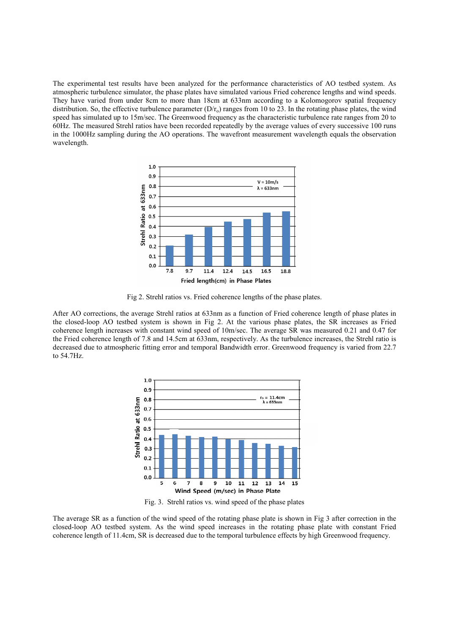The experimental test results have been analyzed for the performance characteristics of AO testbed system. As atmospheric turbulence simulator, the phase plates have simulated various Fried coherence lengths and wind speeds. They have varied from under 8cm to more than 18cm at 633nm according to a Kolomogorov spatial frequency distribution. So, the effective turbulence parameter  $(D/r_0)$  ranges from 10 to 23. In the rotating phase plates, the wind speed has simulated up to 15m/sec. The Greenwood frequency as the characteristic turbulence rate ranges from 20 to 60Hz. The measured Strehl ratios have been recorded repeatedly by the average values of every successive 100 runs in the 1000Hz sampling during the AO operations. The wavefront measurement wavelength equals the observation wavelength.



Fig 2. Strehl ratios vs. Fried coherence lengths of the phase plates.

After AO corrections, the average Strehl ratios at 633nm as a function of Fried coherence length of phase plates in the closed-loop AO testbed system is shown in Fig 2. At the various phase plates, the SR increases as Fried coherence length increases with constant wind speed of 10m/sec. The average SR was measured 0.21 and 0.47 for the Fried coherence length of 7.8 and 14.5cm at 633nm, respectively. As the turbulence increases, the Strehl ratio is decreased due to atmospheric fitting error and temporal Bandwidth error. Greenwood frequency is varied from 22.7 to 54.7Hz.



Fig. 3. Strehl ratios vs. wind speed of the phase plates

The average SR as a function of the wind speed of the rotating phase plate is shown in Fig 3 after correction in the closed-loop AO testbed system. As the wind speed increases in the rotating phase plate with constant Fried coherence length of 11.4cm, SR is decreased due to the temporal turbulence effects by high Greenwood frequency.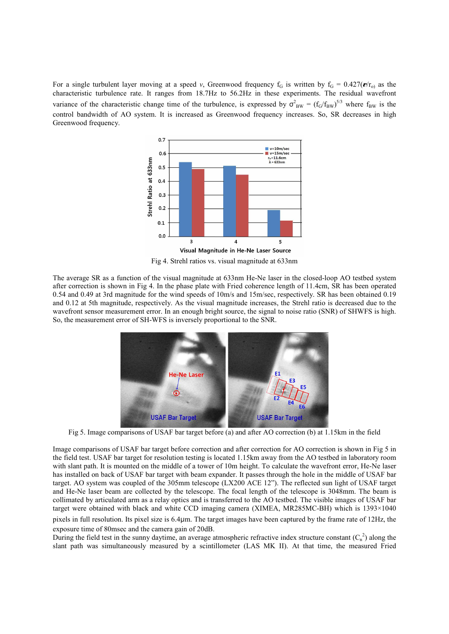For a single turbulent layer moving at a speed *v*, Greenwood frequency  $f_G$  is written by  $f_G = 0.427(\nu/r_0)$  as the characteristic turbulence rate. It ranges from 18.7Hz to 56.2Hz in these experiments. The residual wavefront variance of the characteristic change time of the turbulence, is expressed by  $\sigma_{BW}^2 = (f_G/f_{BW})^{5/3}$  where  $f_{BW}$  is the control bandwidth of AO system. It is increased as Greenwood frequency increases. So, SR decreases in high Greenwood frequency.



Fig 4. Strehl ratios vs. visual magnitude at 633nm

The average SR as a function of the visual magnitude at 633nm He-Ne laser in the closed-loop AO testbed system after correction is shown in Fig 4. In the phase plate with Fried coherence length of 11.4cm, SR has been operated 0.54 and 0.49 at 3rd magnitude for the wind speeds of 10m/s and 15m/sec, respectively. SR has been obtained 0.19 and 0.12 at 5th magnitude, respectively. As the visual magnitude increases, the Strehl ratio is decreased due to the wavefront sensor measurement error. In an enough bright source, the signal to noise ratio (SNR) of SHWFS is high. So, the measurement error of SH-WFS is inversely proportional to the SNR.



Fig 5. Image comparisons of USAF bar target before (a) and after AO correction (b) at 1.15km in the field

Image comparisons of USAF bar target before correction and after correction for AO correction is shown in Fig 5 in the field test. USAF bar target for resolution testing is located 1.15km away from the AO testbed in laboratory room with slant path. It is mounted on the middle of a tower of 10m height. To calculate the wavefront error, He-Ne laser has installed on back of USAF bar target with beam expander. It passes through the hole in the middle of USAF bar target. AO system was coupled of the 305mm telescope (LX200 ACE 12"). The reflected sun light of USAF target and He-Ne laser beam are collected by the telescope. The focal length of the telescope is 3048mm. The beam is collimated by articulated arm as a relay optics and is transferred to the AO testbed. The visible images of USAF bar target were obtained with black and white CCD imaging camera (XIMEA, MR285MC-BH) which is 1393×1040 pixels in full resolution. Its pixel size is 6.4μm. The target images have been captured by the frame rate of 12Hz, the exposure time of 80msec and the camera gain of 20dB.

During the field test in the sunny daytime, an average atmospheric refractive index structure constant  $(C_n^2)$  along the slant path was simultaneously measured by a scintillometer (LAS MK II). At that time, the measured Fried